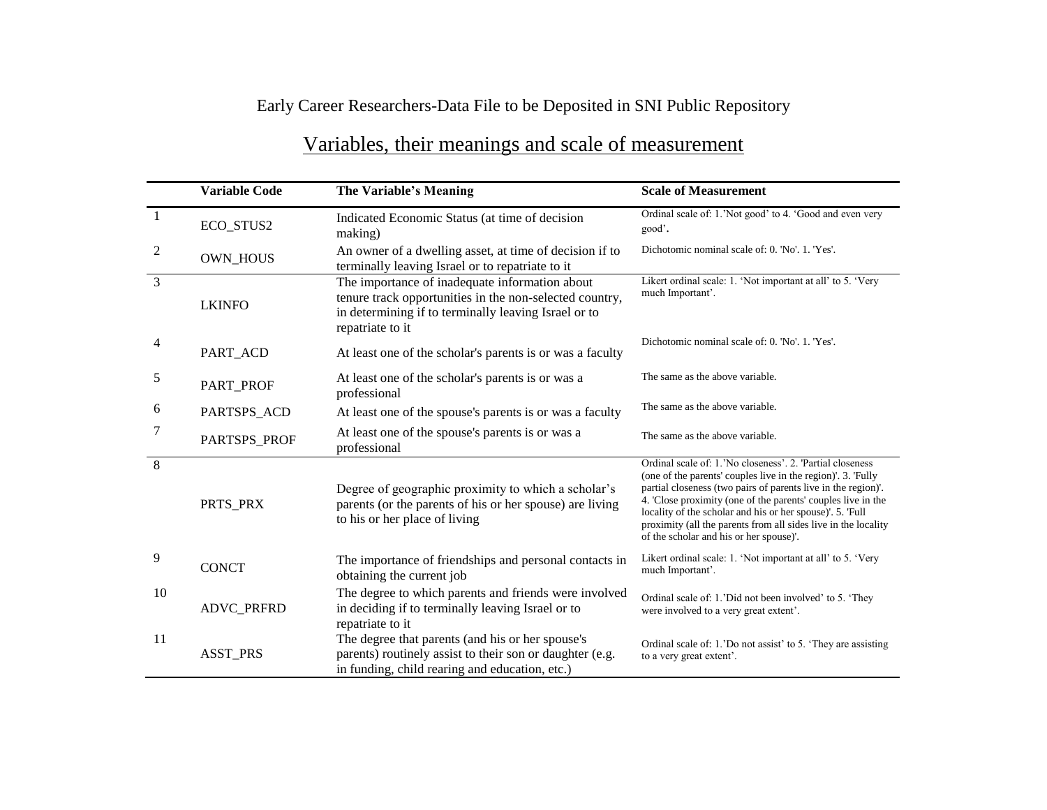## Early Career Researchers-Data File to be Deposited in SNI Public Repository

|                | <b>Variable Code</b> | The Variable's Meaning                                                                                                                                                                | <b>Scale of Measurement</b>                                                                                                                                                                                                                                                                                                                                                                                                          |
|----------------|----------------------|---------------------------------------------------------------------------------------------------------------------------------------------------------------------------------------|--------------------------------------------------------------------------------------------------------------------------------------------------------------------------------------------------------------------------------------------------------------------------------------------------------------------------------------------------------------------------------------------------------------------------------------|
| $\overline{1}$ | ECO_STUS2            | Indicated Economic Status (at time of decision<br>making)                                                                                                                             | Ordinal scale of: 1.'Not good' to 4. 'Good and even very<br>good'.                                                                                                                                                                                                                                                                                                                                                                   |
| $\overline{2}$ | <b>OWN_HOUS</b>      | An owner of a dwelling asset, at time of decision if to<br>terminally leaving Israel or to repatriate to it                                                                           | Dichotomic nominal scale of: 0. 'No'. 1. 'Yes'.                                                                                                                                                                                                                                                                                                                                                                                      |
| 3              | <b>LKINFO</b>        | The importance of inadequate information about<br>tenure track opportunities in the non-selected country,<br>in determining if to terminally leaving Israel or to<br>repatriate to it | Likert ordinal scale: 1. 'Not important at all' to 5. 'Very<br>much Important'.                                                                                                                                                                                                                                                                                                                                                      |
| 4              | PART_ACD             | At least one of the scholar's parents is or was a faculty                                                                                                                             | Dichotomic nominal scale of: 0. 'No'. 1. 'Yes'.                                                                                                                                                                                                                                                                                                                                                                                      |
| 5              | PART_PROF            | At least one of the scholar's parents is or was a<br>professional                                                                                                                     | The same as the above variable.                                                                                                                                                                                                                                                                                                                                                                                                      |
| 6              | PARTSPS_ACD          | At least one of the spouse's parents is or was a faculty                                                                                                                              | The same as the above variable.                                                                                                                                                                                                                                                                                                                                                                                                      |
| 7              | PARTSPS_PROF         | At least one of the spouse's parents is or was a<br>professional                                                                                                                      | The same as the above variable.                                                                                                                                                                                                                                                                                                                                                                                                      |
| 8              | PRTS_PRX             | Degree of geographic proximity to which a scholar's<br>parents (or the parents of his or her spouse) are living<br>to his or her place of living                                      | Ordinal scale of: 1. 'No closeness', 2. 'Partial closeness'<br>(one of the parents' couples live in the region)'. 3. Fully<br>partial closeness (two pairs of parents live in the region)'.<br>4. Close proximity (one of the parents' couples live in the<br>locality of the scholar and his or her spouse)'. 5. 'Full<br>proximity (all the parents from all sides live in the locality<br>of the scholar and his or her spouse)'. |
| 9              | <b>CONCT</b>         | The importance of friendships and personal contacts in<br>obtaining the current job                                                                                                   | Likert ordinal scale: 1. 'Not important at all' to 5. 'Very<br>much Important'.                                                                                                                                                                                                                                                                                                                                                      |
| 10             | ADVC_PRFRD           | The degree to which parents and friends were involved<br>in deciding if to terminally leaving Israel or to<br>repatriate to it                                                        | Ordinal scale of: 1.'Did not been involved' to 5. 'They<br>were involved to a very great extent'.                                                                                                                                                                                                                                                                                                                                    |
| 11             | <b>ASST_PRS</b>      | The degree that parents (and his or her spouse's<br>parents) routinely assist to their son or daughter (e.g.<br>in funding, child rearing and education, etc.)                        | Ordinal scale of: 1. 'Do not assist' to 5. 'They are assisting<br>to a very great extent'.                                                                                                                                                                                                                                                                                                                                           |

## Variables, their meanings and scale of measurement